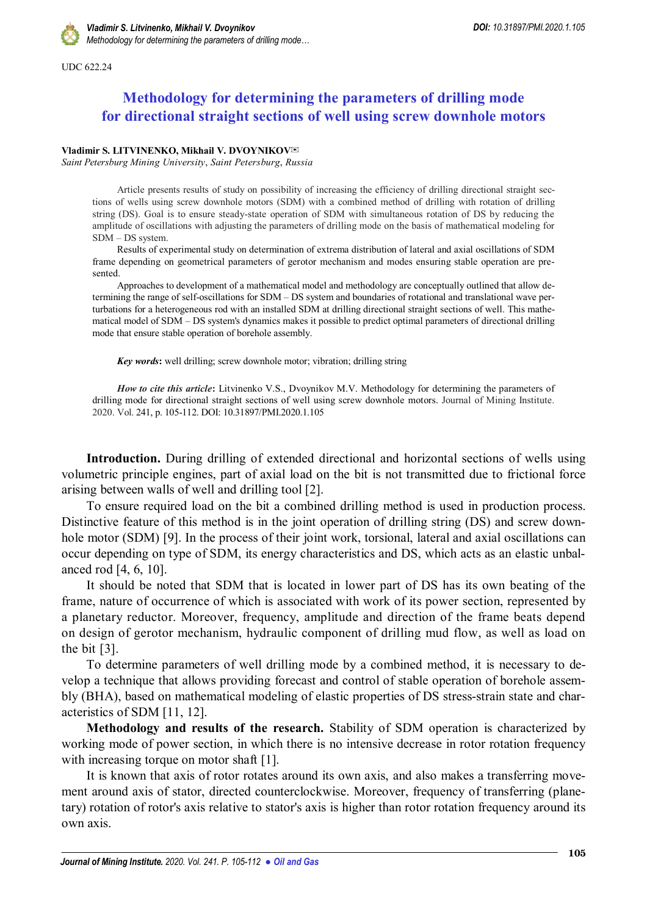UDC 622.24

## **Methodology for determining the parameters of drilling mode for directional straight sections of well using screw downhole motors**

## **Vladimir S. LITVINENKO, Mikhail V. DVOYNIKOV**

*Saint Petersburg Mining University*, *Saint Petersburg*, *Russia*

Article presents results of study on possibility of increasing the efficiency of drilling directional straight sections of wells using screw downhole motors (SDM) with a combined method of drilling with rotation of drilling string (DS). Goal is to ensure steady-state operation of SDM with simultaneous rotation of DS by reducing the amplitude of oscillations with adjusting the parameters of drilling mode on the basis of mathematical modeling for SDM – DS system.

Results of experimental study on determination of extrema distribution of lateral and axial oscillations of SDM frame depending on geometrical parameters of gerotor mechanism and modes ensuring stable operation are presented.

Approaches to development of a mathematical model and methodology are conceptually outlined that allow determining the range of self-oscillations for SDM – DS system and boundaries of rotational and translational wave perturbations for a heterogeneous rod with an installed SDM at drilling directional straight sections of well. This mathematical model of SDM – DS system's dynamics makes it possible to predict optimal parameters of directional drilling mode that ensure stable operation of borehole assembly.

*Key words***:** well drilling; screw downhole motor; vibration; drilling string

*How to cite this article***:** Litvinenko V.S., Dvoynikov M.V. Methodology for determining the parameters of drilling mode for directional straight sections of well using screw downhole motors. Journal of Mining Institute. 2020. Vol. 241, p. 105-112. DOI: 10.31897/PMI.2020.1.105

**Introduction.** During drilling of extended directional and horizontal sections of wells using volumetric principle engines, part of axial load on the bit is not transmitted due to frictional force arising between walls of well and drilling tool [2].

To ensure required load on the bit a combined drilling method is used in production process. Distinctive feature of this method is in the joint operation of drilling string (DS) and screw downhole motor (SDM) [9]. In the process of their joint work, torsional, lateral and axial oscillations can occur depending on type of SDM, its energy characteristics and DS, which acts as an elastic unbalanced rod [4, 6, 10].

It should be noted that SDM that is located in lower part of DS has its own beating of the frame, nature of occurrence of which is associated with work of its power section, represented by a planetary reductor. Moreover, frequency, amplitude and direction of the frame beats depend on design of gerotor mechanism, hydraulic component of drilling mud flow, as well as load on the bit [3].

To determine parameters of well drilling mode by a combined method, it is necessary to develop a technique that allows providing forecast and control of stable operation of borehole assembly (BHA), based on mathematical modeling of elastic properties of DS stress-strain state and characteristics of SDM [11, 12].

**Methodology and results of the research.** Stability of SDM operation is characterized by working mode of power section, in which there is no intensive decrease in rotor rotation frequency with increasing torque on motor shaft [1].

It is known that axis of rotor rotates around its own axis, and also makes a transferring movement around axis of stator, directed counterclockwise. Moreover, frequency of transferring (planetary) rotation of rotor's axis relative to stator's axis is higher than rotor rotation frequency around its own axis.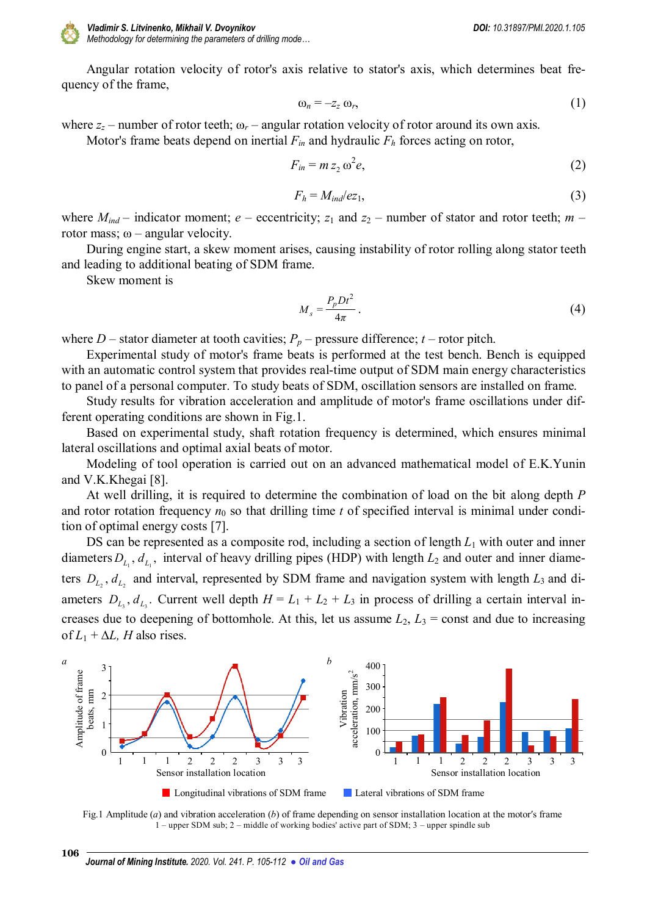

Angular rotation velocity of rotor's axis relative to stator's axis, which determines beat frequency of the frame,

$$
\omega_n = -z_z \omega_r,\tag{1}
$$

where  $z_z$  – number of rotor teeth;  $\omega_r$  – angular rotation velocity of rotor around its own axis.

Motor's frame beats depend on inertial  $F_{in}$  and hydraulic  $F_h$  forces acting on rotor,

$$
F_{in} = m z_2 \omega^2 e, \qquad (2)
$$

$$
F_h = M_{ind}/ez_1,\tag{3}
$$

where  $M_{ind}$  – indicator moment;  $e$  – eccentricity;  $z_1$  and  $z_2$  – number of stator and rotor teeth;  $m$  – rotor mass;  $ω$  – angular velocity.

During engine start, a skew moment arises, causing instability of rotor rolling along stator teeth and leading to additional beating of SDM frame.

Skew moment is

$$
M_s = \frac{P_p D t^2}{4\pi} \,. \tag{4}
$$

where *D* – stator diameter at tooth cavities;  $P_p$  – pressure difference; *t* – rotor pitch.

Experimental study of motor's frame beats is performed at the test bench. Bench is equipped with an automatic control system that provides real-time output of SDM main energy characteristics to panel of a personal computer. To study beats of SDM, oscillation sensors are installed on frame.

Study results for vibration acceleration and amplitude of motor's frame oscillations under different operating conditions are shown in Fig.1.

Based on experimental study, shaft rotation frequency is determined, which ensures minimal lateral oscillations and optimal axial beats of motor.

Modeling of tool operation is carried out on an advanced mathematical model of E.K.Yunin and V.K.Khegai [8].

At well drilling, it is required to determine the combination of load on the bit along depth *P* and rotor rotation frequency  $n_0$  so that drilling time  $t$  of specified interval is minimal under condition of optimal energy costs [7].

DS can be represented as a composite rod, including a section of length  $L_1$  with outer and inner diameters  $D_{L_1}, d_{L_1}$ , interval of heavy drilling pipes (HDP) with length  $L_2$  and outer and inner diameters  $D_{L_2}$ ,  $d_{L_2}$  and interval, represented by SDM frame and navigation system with length  $L_3$  and diameters  $D_{L_3}, d_{L_3}$ . Current well depth  $H = L_1 + L_2 + L_3$  in process of drilling a certain interval increases due to deepening of bottomhole. At this, let us assume  $L_2$ ,  $L_3$  = const and due to increasing of  $L_1$  +  $\Delta L$ , *H* also rises.





**106**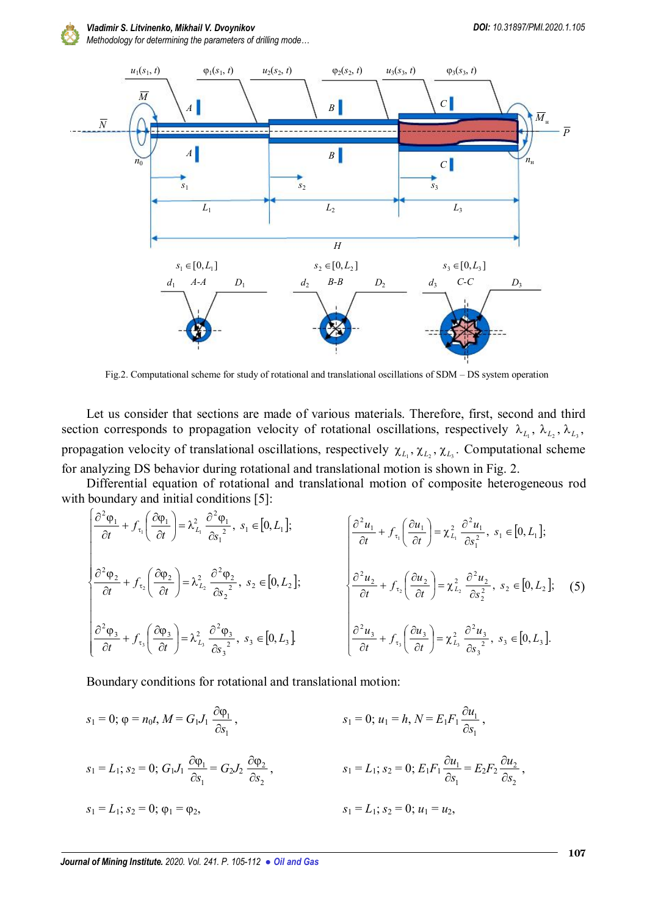

*Vladimir S. Litvinenko, Mikhail V. Dvoynikov DOI: 10.31897/PMI.2020.1.105*

*Methodology for determining the parameters of drilling mode…*



Fig.2. Computational scheme for study of rotational and translational oscillations of SDM – DS system operation

Let us consider that sections are made of various materials. Therefore, first, second and third section corresponds to propagation velocity of rotational oscillations, respectively  $\lambda_{L_1}$ ,  $\lambda_{L_2}$ ,  $\lambda_{L_3}$ , propagation velocity of translational oscillations, respectively  $\chi_{L_1}, \chi_{L_2}, \chi_{L_3}$ . Computational scheme for analyzing DS behavior during rotational and translational motion is shown in Fig. 2.

Differential equation of rotational and translational motion of composite heterogeneous rod with boundary and initial conditions [5]:

$$
\begin{cases}\n\frac{\partial^2 \varphi_1}{\partial t} + f_{\tau_1} \left( \frac{\partial \varphi_1}{\partial t} \right) = \lambda_{L_1}^2 \frac{\partial^2 \varphi_1}{\partial s_1^2}, s_1 \in [0, L_1]; \\
\frac{\partial^2 \varphi_2}{\partial t} + f_{\tau_2} \left( \frac{\partial \varphi_2}{\partial t} \right) = \lambda_{L_2}^2 \frac{\partial^2 \varphi_2}{\partial s_2^2}, s_2 \in [0, L_2]; \\
\frac{\partial^2 \varphi_3}{\partial t} + f_{\tau_3} \left( \frac{\partial \varphi_3}{\partial t} \right) = \lambda_{L_3}^2 \frac{\partial^2 \varphi_3}{\partial s_3^2}, s_3 \in [0, L_3];\n\end{cases}\n\begin{cases}\n\frac{\partial^2 u_1}{\partial t} + f_{\tau_1} \left( \frac{\partial u_1}{\partial t} \right) = \chi_{L_1}^2 \frac{\partial^2 u_1}{\partial s_1^2}, s_1 \in [0, L_1]; \\
\frac{\partial^2 u_2}{\partial t} + f_{\tau_2} \left( \frac{\partial u_2}{\partial t} \right) = \chi_{L_2}^2 \frac{\partial^2 u_2}{\partial s_2^2}, s_2 \in [0, L_2]; \\
\frac{\partial^2 u_3}{\partial t} + f_{\tau_3} \left( \frac{\partial u_3}{\partial t} \right) = \chi_{L_3}^2 \frac{\partial^2 u_3}{\partial s_3^2}, s_3 \in [0, L_3].\n\end{cases}
$$
\n
$$
(5)
$$

Boundary conditions for rotational and translational motion:

$$
s_1 = 0; \varphi = n_0 t, M = G_1 J_1 \frac{\partial \varphi_1}{\partial s_1},
$$
  
\n
$$
s_1 = 0; u_1 = h, N = E_1 F_1 \frac{\partial u_1}{\partial s_1},
$$
  
\n
$$
s_1 = L_1; s_2 = 0; G_1 J_1 \frac{\partial \varphi_1}{\partial s_1} = G_2 J_2 \frac{\partial \varphi_2}{\partial s_2},
$$
  
\n
$$
s_1 = L_1; s_2 = 0; E_1 F_1 \frac{\partial u_1}{\partial s_1} = E_2 F_2 \frac{\partial u_2}{\partial s_2},
$$
  
\n
$$
s_1 = L_1; s_2 = 0; u_1 = u_2,
$$
  
\n
$$
s_1 = L_1; s_2 = 0; u_1 = u_2,
$$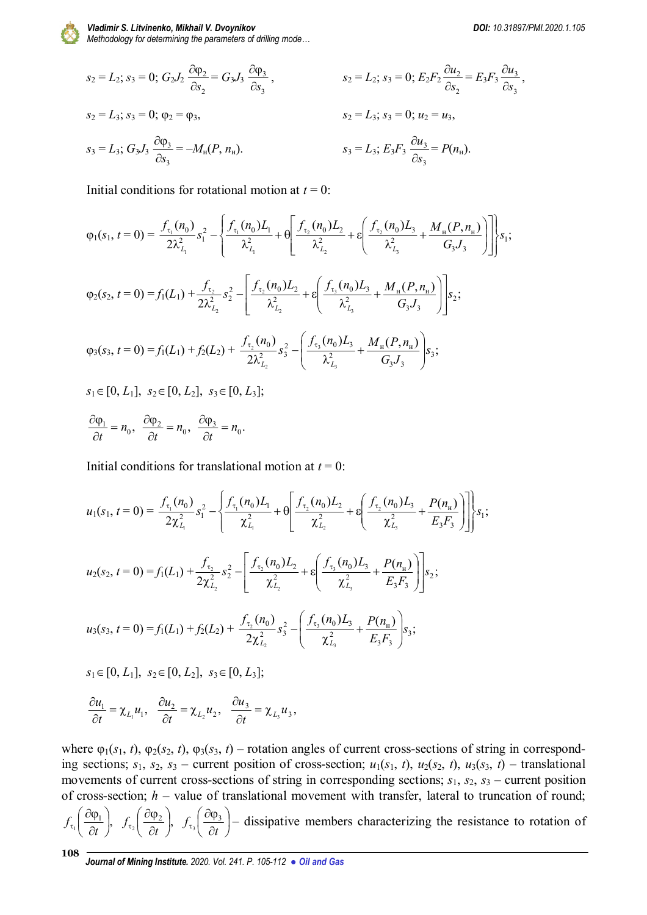

*Methodology for determining the parameters of drilling mode…*

$$
s_2 = L_2; s_3 = 0; G_2 J_2 \frac{\partial \varphi_2}{\partial s_2} = G_3 J_3 \frac{\partial \varphi_3}{\partial s_3}, \qquad s_2 = L_2; s_3 = 0; E_2 F_2 \frac{\partial u_2}{\partial s_2} = E_3 F_3 \frac{\partial u_3}{\partial s_3},
$$
  
\n
$$
s_2 = L_3; s_3 = 0; u_2 = u_3,
$$
  
\n
$$
s_3 = L_3; G_3 J_3 \frac{\partial \varphi_3}{\partial s_3} = -M_{\rm H}(P, n_{\rm H}). \qquad s_3 = L_3; E_3 F_3 \frac{\partial u_3}{\partial s_3} = P(n_{\rm H}).
$$

Initial conditions for rotational motion at  $t = 0$ :

$$
\varphi_{1}(s_{1}, t=0) = \frac{f_{\tau_{1}}(n_{0})}{2\lambda_{L_{1}}^{2}} s_{1}^{2} - \left\{ \frac{f_{\tau_{1}}(n_{0})L_{1}}{\lambda_{L_{1}}^{2}} + \theta \left[ \frac{f_{\tau_{2}}(n_{0})L_{2}}{\lambda_{L_{2}}^{2}} + \epsilon \left( \frac{f_{\tau_{2}}(n_{0})L_{3}}{\lambda_{L_{3}}^{2}} + \frac{M_{\mu}(P, n_{\mu})}{G_{3}J_{3}} \right) \right] \right\} s_{1};
$$
\n
$$
\varphi_{2}(s_{2}, t=0) = f_{1}(L_{1}) + \frac{f_{\tau_{2}}}{2\lambda_{L_{2}}^{2}} s_{2}^{2} - \left[ \frac{f_{\tau_{2}}(n_{0})L_{2}}{\lambda_{L_{2}}^{2}} + \epsilon \left( \frac{f_{\tau_{3}}(n_{0})L_{3}}{\lambda_{L_{3}}^{2}} + \frac{M_{\mu}(P, n_{\mu})}{G_{3}J_{3}} \right) \right] s_{2};
$$
\n
$$
\varphi_{3}(s_{3}, t=0) = f_{1}(L_{1}) + f_{2}(L_{2}) + \frac{f_{\tau_{2}}(n_{0})}{2\lambda_{L_{2}}^{2}} s_{3}^{2} - \left( \frac{f_{\tau_{3}}(n_{0})L_{3}}{\lambda_{L_{3}}^{2}} + \frac{M_{\mu}(P, n_{\mu})}{G_{3}J_{3}} \right) s_{3};
$$
\n
$$
s_{1} \in [0, L_{1}], \ s_{2} \in [0, L_{2}], \ s_{3} \in [0, L_{3}];
$$
\n
$$
\frac{\partial \varphi_{1}}{\partial t} = n_{0}, \ \frac{\partial \varphi_{2}}{\partial t} = n_{0}, \ \frac{\partial \varphi_{3}}{\partial t} = n_{0}.
$$

Initial conditions for translational motion at  $t = 0$ :

$$
u_1(s_1, t=0) = \frac{f_{\tau_1}(n_0)}{2\chi_{L_1}^2} s_1^2 - \left\{ \frac{f_{\tau_1}(n_0)L_1}{\chi_{L_1}^2} + \theta \left[ \frac{f_{\tau_2}(n_0)L_2}{\chi_{L_2}^2} + \epsilon \left( \frac{f_{\tau_2}(n_0)L_3}{\chi_{L_3}^2} + \frac{P(n_{\rm H})}{E_3F_3} \right) \right] \right\} s_1;
$$
  
\n
$$
u_2(s_2, t=0) = f_1(L_1) + \frac{f_{\tau_2}}{2\chi_{L_2}^2} s_2^2 - \left[ \frac{f_{\tau_2}(n_0)L_2}{\chi_{L_2}^2} + \epsilon \left( \frac{f_{\tau_3}(n_0)L_3}{\chi_{L_3}^2} + \frac{P(n_{\rm H})}{E_3F_3} \right) \right] s_2;
$$
  
\n
$$
u_3(s_3, t=0) = f_1(L_1) + f_2(L_2) + \frac{f_{\tau_2}(n_0)}{2\chi_{L_2}^2} s_3^2 - \left( \frac{f_{\tau_3}(n_0)L_3}{\chi_{L_3}^2} + \frac{P(n_{\rm H})}{E_3F_3} \right) s_3;
$$
  
\n
$$
s_1 \in [0, L_1], \ s_2 \in [0, L_2], \ s_3 \in [0, L_3];
$$

$$
\frac{\partial u_1}{\partial t} = \chi_{L_1} u_1, \quad \frac{\partial u_2}{\partial t} = \chi_{L_2} u_2, \quad \frac{\partial u_3}{\partial t} = \chi_{L_3} u_3,
$$

where  $\varphi_1(s_1, t)$ ,  $\varphi_2(s_2, t)$ ,  $\varphi_3(s_3, t)$  – rotation angles of current cross-sections of string in corresponding sections;  $s_1$ ,  $s_2$ ,  $s_3$  – current position of cross-section;  $u_1(s_1, t)$ ,  $u_2(s_2, t)$ ,  $u_3(s_3, t)$  – translational movements of current cross-sections of string in corresponding sections; *s*1, *s*2, *s*<sup>3</sup> – current position of cross-section; *h* – value of translational movement with transfer, lateral to truncation of round;

 $\frac{1}{\sqrt{2}}$  $\frac{1}{2} \left| \frac{\partial \psi_1}{\partial t} \right|$ J  $\left(\frac{\partial \varphi_1}{\partial t}\right)$  $\setminus$ ſ  $\partial$  $\partial \varphi$  $\sigma_1$   $\partial t$  $f_{\tau}$   $\frac{\omega_{\psi_1}}{2}$ ,  $f_{\tau_2}$   $\frac{\omega_{\psi_2}}{2}$ ,  $\frac{\sqrt{2} \sqrt{2}}{2t}$ J  $\left(\frac{\partial \varphi_2}{\partial t}\right)$  $\setminus$ ſ  $\partial$  $\partial \phi$  $\sigma_2$   $\partial t$  $f_{\tau_2} \left| \frac{\partial \varphi_2}{\partial x} \right|, f_{\tau_2} \left| \frac{\partial \varphi_3}{\partial x} \right|$ J  $\left(\frac{\partial \varphi_3}{\partial r}\right)$  $\setminus$ ſ  $\partial$ ∂φ  $\sigma_3$   $\partial t$  $f_{\tau}$  $\frac{\omega \varphi_3}{2}$  $\frac{1}{3} \left( \frac{\partial \phi_3}{\partial t} \right)$  – dissipative members characterizing the resistance to rotation of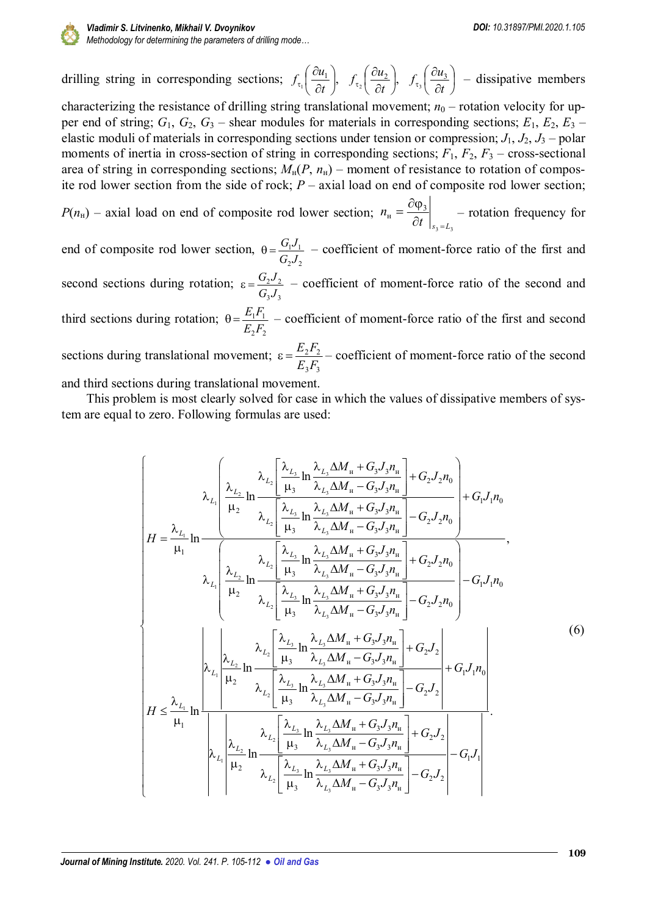

drilling string in corresponding sections;  $f_{\tau}$   $\left| \frac{\partial u_1}{\partial x_1} \right|$ ,  $\frac{1}{2} \left| \frac{du}{dt} \right|$ J  $\left(\frac{\partial u_1}{\partial u_1}\right)$  $\setminus$ ſ  $\partial$  $\partial$  $\sigma_1$   $\partial t$  $f_{\tau}$  $\left(\frac{\partial u_1}{\partial x}\right), \quad f_{\tau}$  $\left(\frac{\partial u_2}{\partial x}\right),$  $\frac{2}{2} \left( \frac{3u_2}{2t} \right)$ J  $\left(\frac{\partial u_2}{\partial x}\right)$  $\setminus$ ſ  $\partial$  $\partial$  $\sigma_2$   $\partial t$  $f_{\tau_2} \left( \frac{\partial u_2}{\partial x} \right), \quad f_{\tau_3} \left( \frac{\partial u_3}{\partial x} \right)$ J  $\left(\frac{\partial u_3}{\partial x}\right)$  $\setminus$ ſ  $\partial$  $\partial$  $\sigma_3$   $\partial t$  $f_{\tau_2} \left( \frac{\partial u_3}{\partial x_1} \right)$  $\frac{\partial u_3}{\partial t}$  – dissipative members characterizing the resistance of drilling string translational movement;  $n_0$  – rotation velocity for upper end of string;  $G_1$ ,  $G_2$ ,  $G_3$  – shear modules for materials in corresponding sections;  $E_1$ ,  $E_2$ ,  $E_3$  – elastic moduli of materials in corresponding sections under tension or compression; *J*1, *J*2, *J*<sup>3</sup> – polar moments of inertia in cross-section of string in corresponding sections;  $F_1$ ,  $F_2$ ,  $F_3$  – cross-sectional area of string in corresponding sections;  $M<sub>H</sub>(P, n<sub>H</sub>)$  – moment of resistance to rotation of composite rod lower section from the side of rock; *P* – axial load on end of composite rod lower section;

 $P(n_{\rm H})$  – axial load on end of composite rod lower section;  $3 - 1/3$  $_{\rm H} = \frac{U \psi_3}{24}$  $t \big|_{s_3=L}$ *n*  $\partial t \bigm|_{s_3}$  $=\frac{\partial \varphi_3}{\partial x}$  – rotation frequency for

end of composite rod lower section,  $2^{\prime\prime}$  2  $1$ <sup> $\prime$ </sup> 1  $G<sub>2</sub>J$  $\theta = \frac{G_1 J_1}{G_1}$  – coefficient of moment-force ratio of the first and

second sections during rotation;  $3^{\prime\prime}$  3  $2^{\prime\prime}$  2  $G, J$  $\varepsilon = \frac{G_2 J_2}{G T}$  – coefficient of moment-force ratio of the second and

third sections during rotation;  $2^{1}$  2  $1 - 1$  $E_2F_2$  $\theta = \frac{E_1 F_1}{E_1 F_2}$  – coefficient of moment-force ratio of the first and second

sections during translational movement;  $3^{1}3$  $2^1$  2  $E_3F_3$  $\varepsilon = \frac{E_2 F_2}{E_1 E_2}$  – coefficient of moment-force ratio of the second

and third sections during translational movement.

This problem is most clearly solved for case in which the values of dissipative members of system are equal to zero. Following formulas are used:

$$
\begin{bmatrix}\n\lambda_{L_{1}}\n\begin{bmatrix}\n\lambda_{L_{2}}\n\lambda_{L_{3}}\n\frac{\lambda_{L_{3}}\n\lambda_{L_{3}}\n\ln \frac{\lambda_{L_{3}}\Delta M_{u} + G_{3}J_{3}n_{u}}{\lambda_{L_{3}}\Delta M_{u} - G_{3}J_{3}n_{u}}\n\end{bmatrix} + G_{2}J_{2}n_{0} \\
H = \frac{\lambda_{L_{1}}}{\mu_{1}}\n\frac{\lambda_{L_{2}}\n\begin{bmatrix}\n\lambda_{L_{3}}\n\mu_{2}\n\mu_{3}\n\end{bmatrix}\n\lambda_{L_{3}}\n\begin{bmatrix}\n\lambda_{L_{3}}\n\mu_{3}\n\lambda_{L_{3}}\n\Delta M_{u} + G_{3}J_{3}n_{u}\n\end{bmatrix} - G_{2}J_{2}n_{0} \\
\lambda_{L_{1}}\n\begin{bmatrix}\n\lambda_{L_{2}}\n\mu_{1}\n\mu_{2}\n\end{bmatrix}\n\lambda_{L_{2}}\n\begin{bmatrix}\n\lambda_{L_{3}}\n\mu_{2}\n\mu_{3}\n\end{bmatrix}\n\lambda_{L_{3}}\n\begin{bmatrix}\n\lambda_{L_{3}}\n\mu_{2}\n\mu_{3}\n\end{bmatrix}\n\lambda_{L_{3}}\n\lambda_{L_{3}}\n\lambda_{L_{3}}\n\lambda_{L_{3}}\n\lambda_{L_{3}}\n\lambda_{L_{3}}\n\lambda_{L_{3}}\n\lambda_{L_{3}}\n\lambda_{L_{3}}\n\lambda_{L_{3}}\n\lambda_{L_{3}}\n\lambda_{L_{3}}\n\lambda_{L_{3}}\n\lambda_{L_{3}}\n\lambda_{L_{3}}\n\lambda_{L_{3}}\n\lambda_{L_{3}}\n\lambda_{L_{3}}\n\lambda_{L_{3}}\n\lambda_{L_{3}}\n\lambda_{L_{3}}\n\lambda_{L_{3}}\n\lambda_{L_{3}}\n\lambda_{L_{3}}\n\lambda_{L_{3}}\n\lambda_{L_{3}}\n\lambda_{L_{3}}\n\lambda_{L_{3}}\n\lambda_{L_{3}}\n\lambda_{L_{3}}\n\lambda_{L_{3}}\n\lambda_{L_{3}}\n\lambda_{L_{3}}\n\lambda_{L_{3}}\n\lambda_{L_{3}}\n\lambda_{L_{3}}\n\lambda_{L_{3}}\n\lambda_{L_{3}}\n\lambda
$$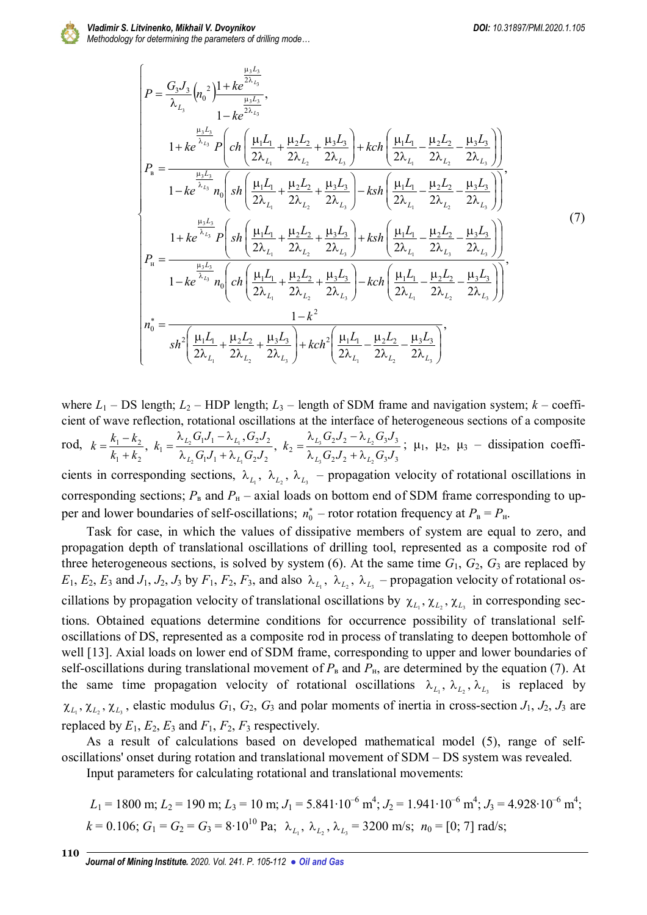

 $\overline{C}$ 

$$
\begin{cases}\nP = \frac{G_{3}J_{3}}{\lambda_{L_{3}}}\left(n_{0}^{2}\right) \frac{1 + ke^{2\lambda_{L_{3}}}}{\lambda_{L_{3}}},\\
1 - ke^{2\lambda_{L_{3}}}}\n\end{cases}
$$
\n
$$
P_{8} = \frac{\frac{\mu_{3}L_{3}}{\lambda_{L_{3}}}P\left(ch\left(\frac{\mu_{1}L_{1}}{2\lambda_{L_{1}}} + \frac{\mu_{2}L_{2}}{2\lambda_{L_{2}}} + \frac{\mu_{3}L_{3}}{2\lambda_{L_{3}}}\right) + kch\left(\frac{\mu_{1}L_{1}}{2\lambda_{L_{1}}} - \frac{\mu_{2}L_{2}}{2\lambda_{L_{2}}} - \frac{\mu_{3}L_{3}}{2\lambda_{L_{3}}}\right)\right)}{1 - ke^{\lambda_{L_{3}}}n_{0}\left(sh\left(\frac{\mu_{1}L_{1}}{2\lambda_{L_{1}}} + \frac{\mu_{2}L_{2}}{2\lambda_{L_{2}}} + \frac{\mu_{3}L_{3}}{2\lambda_{L_{3}}}\right) - ksh\left(\frac{\mu_{1}L_{1}}{2\lambda_{L_{1}}} - \frac{\mu_{2}L_{2}}{2\lambda_{L_{2}}} - \frac{\mu_{3}L_{3}}{2\lambda_{L_{3}}}\right)\right)}{1 - ke^{\lambda_{L_{3}}}P\left(sh\left(\frac{\mu_{1}L_{1}}{2\lambda_{L_{1}}} + \frac{\mu_{2}L_{2}}{2\lambda_{L_{2}}} + \frac{\mu_{3}L_{3}}{2\lambda_{L_{3}}}\right) + ksh\left(\frac{\mu_{1}L_{1}}{2\lambda_{L_{1}}} - \frac{\mu_{2}L_{2}}{2\lambda_{L_{3}}} - \frac{\mu_{3}L_{3}}{2\lambda_{L_{3}}}\right)\right)}{1 - ke^{\lambda_{L_{3}}}n_{0}\left(ch\left(\frac{\mu_{1}L_{1}}{2\lambda_{L_{1}}} + \frac{\mu_{2}L_{2}}{2\lambda_{L_{2}}} + \frac{\mu_{3}L_{3}}{2\lambda_{L_{3}}}\right) - kch\left(\frac{\mu_{1}L_{1}}{2\lambda_{L_{1}}} - \frac{\mu_{2}L_{2}}{2\lambda_{L_{2}}} - \frac{\mu_{3}L_{3}}{2\lambda_{L_{3}}}\right)\right)}{1 - k^{2}}, \tag{7}
$$
\n $$ 

where  $L_1$  – DS length;  $L_2$  – HDP length;  $L_3$  – length of SDM frame and navigation system;  $k$  – coefficient of wave reflection, rotational oscillations at the interface of heterogeneous sections of a composite rod,  $2^{j} 2^{j} \sqrt{L_2}$   $3^{j} 3$  $2^{j} 2^{j} 2^{k}$ 2  $1^{\prime}$  1  $\sim$   $L_1$   $\sim$   $2^{\prime}$  2  $1^{J} 1^{-J}$   $V_{L_1}$ ,  $V_2$  $V_2$ 1  $1 + \kappa_2$  $1 - \kappa_2$  $3 \left( \begin{array}{cc} 3 & 2 \end{array} \right)$  $3 \left( \begin{array}{cc} 2 & 2 \end{array} \right)$ 2 1 1  $L_1$  $\frac{2}{\sqrt{2}}$ ,  $\frac{1}{\sqrt{2}}$ ,  $\frac{1}{\sqrt{2}}$ ,  $\frac{1}{\sqrt{2}}$ ,  $\frac{1}{\sqrt{2}}$ ,  $\frac{1}{\sqrt{2}}$ ,  $\frac{1}{\sqrt{2}}$ ,  $\frac{1}{\sqrt{2}}$ ,  $\frac{1}{\sqrt{2}}$ ,  $\frac{1}{\sqrt{2}}$ ,  $\frac{1}{\sqrt{2}}$ ,  $\frac{1}{\sqrt{2}}$ ,  $\frac{1}{\sqrt{2}}$ ,  $\frac{1}{\sqrt{2}}$ ,  $\frac{1}{\sqrt{2}}$ ,  $\frac{1}{\sqrt{2}}$ , ,  $G_2J_2 + \lambda_{I_2}G_3J$  $G_2 J_2 - \lambda_{L_2} G_3 J$ *k*  $G_1J_1 + \lambda_L G_2J$  $G_1J_1 - \lambda_L$ ,  $G_2J$ *k*  $k_1 + k$  $k = \frac{k_1 - k_2}{l}$  $L$ <sup>2</sup>/<sub>2</sub>  $\mu$ <sup>L</sup>  $L$ <sup>2</sup>/<sub>2</sub>  $\sim$   $\mu$ <sup>L</sup>  $L_2$   $\cup$ <sub>1</sub> $\cup$ <sub>1</sub>  $\vdash$   $\sim$ <sub>*L*</sub>  $L_2 \cup l_1 \cup l_1 \longrightarrow L$  $\lambda_{L_1} G_2 J_2 + \lambda$  $\lambda_{L_{\ast}}G_{2}J_{2}$  –  $\lambda$  $=$  $\lambda_{I_2} G_1 J_1 + \lambda$  $\lambda_{L_{\alpha}}G_{1}J_{1} - \lambda$  $=$  $^{+}$  $=\frac{k_1-k_2}{k_1-k_2}$ ,  $k_1=\frac{\lambda_{L_2}G_1J_1-\lambda_{L_1}G_2J_2}{\lambda_{L_1}G_2J_2}$ ,  $k_2=\frac{\lambda_{L_3}G_2J_2-\lambda_{L_2}G_3J_3}{\lambda_{L_1}G_2J_2}$ ;  $\mu_1$ ,  $\mu_2$ ,  $\mu_3$  – dissipation coefficients in corresponding sections,  $\lambda_{L_1}$ ,  $\lambda_{L_2}$ ,  $\lambda_{L_3}$  – propagation velocity of rotational oscillations in corresponding sections;  $P_B$  and  $P_H$  – axial loads on bottom end of SDM frame corresponding to upper and lower boundaries of self-oscillations;  $n_0^*$  – rotor rotation frequency at  $P_B = P_H$ .

Task for case, in which the values of dissipative members of system are equal to zero, and propagation depth of translational oscillations of drilling tool, represented as a composite rod of three heterogeneous sections, is solved by system  $(6)$ . At the same time  $G_1$ ,  $G_2$ ,  $G_3$  are replaced by  $E_1, E_2, E_3$  and  $J_1, J_2, J_3$  by  $F_1, F_2, F_3$ , and also  $\lambda_{L_1}, \lambda_{L_2}, \lambda_{L_3}$  – propagation velocity of rotational oscillations by propagation velocity of translational oscillations by  $\chi_{L_1}, \chi_{L_2}, \chi_{L_3}$  in corresponding sections. Obtained equations determine conditions for occurrence possibility of translational selfoscillations of DS, represented as a composite rod in process of translating to deepen bottomhole of well [13]. Axial loads on lower end of SDM frame, corresponding to upper and lower boundaries of self-oscillations during translational movement of  $P_B$  and  $P_H$ , are determined by the equation (7). At the same time propagation velocity of rotational oscillations  $\lambda_{L_1}, \lambda_{L_2}, \lambda_{L_3}$  is replaced by  $\chi_{L_1}, \chi_{L_2}, \chi_{L_3}$ , elastic modulus  $G_1, G_2, G_3$  and polar moments of inertia in cross-section  $J_1, J_2, J_3$  are replaced by  $E_1$ ,  $E_2$ ,  $E_3$  and  $F_1$ ,  $F_2$ ,  $F_3$  respectively.

As a result of calculations based on developed mathematical model (5), range of selfoscillations' onset during rotation and translational movement of SDM – DS system was revealed.

Input parameters for calculating rotational and translational movements:

$$
L_1 = 1800 \text{ m}; L_2 = 190 \text{ m}; L_3 = 10 \text{ m}; J_1 = 5.841 \cdot 10^{-6} \text{ m}^4; J_2 = 1.941 \cdot 10^{-6} \text{ m}^4; J_3 = 4.928 \cdot 10^{-6} \text{ m}^4; k = 0.106; G_1 = G_2 = G_3 = 8 \cdot 10^{10} \text{ Pa}; \lambda_{L_1}, \lambda_{L_2}, \lambda_{L_3} = 3200 \text{ m/s}; n_0 = [0; 7] \text{ rad/s};
$$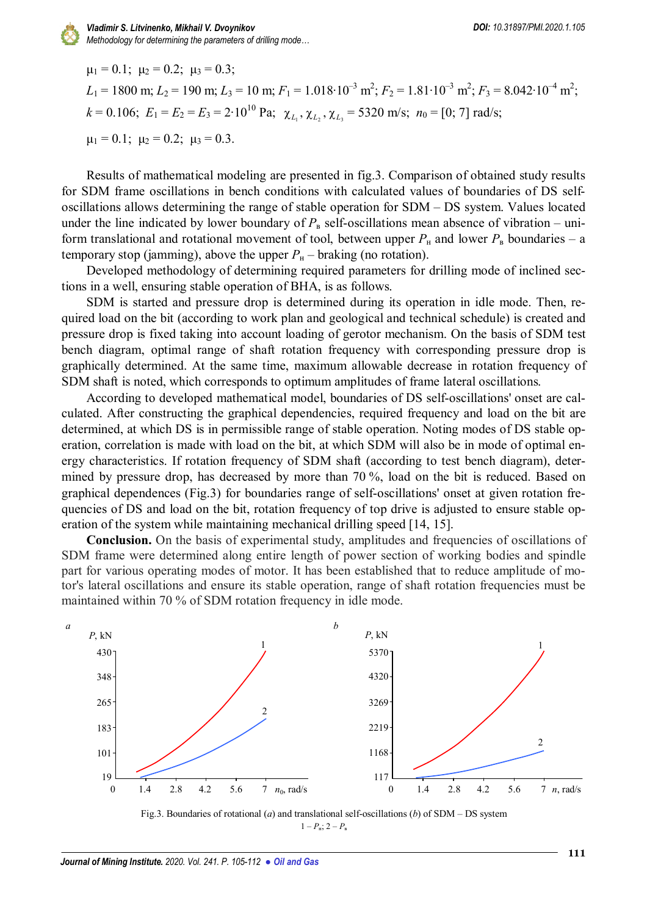

 $\mu_1 = 0.1$ ;  $\mu_2 = 0.2$ ;  $\mu_3 = 0.3$ ;  $L_1 = 1800$  m;  $L_2 = 190$  m;  $L_3 = 10$  m;  $F_1 = 1.018 \cdot 10^{-3}$  m<sup>2</sup>;  $F_2 = 1.81 \cdot 10^{-3}$  m<sup>2</sup>;  $F_3 = 8.042 \cdot 10^{-4}$  m<sup>2</sup>;  $k = 0.106; E_1 = E_2 = E_3 = 2 \cdot 10^{10} \text{ Pa}; \ \chi_{L_1}, \chi_{L_2}, \chi_{L_3} = 5320 \text{ m/s}; n_0 = [0; 7] \text{ rad/s};$  $\mu_1 = 0.1$ ;  $\mu_2 = 0.2$ ;  $\mu_3 = 0.3$ .

Results of mathematical modeling are presented in fig.3. Comparison of obtained study results for SDM frame oscillations in bench conditions with calculated values of boundaries of DS selfoscillations allows determining the range of stable operation for SDM – DS system. Values located under the line indicated by lower boundary of  $P_{\rm B}$  self-oscillations mean absence of vibration – uniform translational and rotational movement of tool, between upper  $P_{\text{H}}$  and lower  $P_{\text{B}}$  boundaries – a temporary stop (jamming), above the upper  $P_{\rm H}$  – braking (no rotation).

Developed methodology of determining required parameters for drilling mode of inclined sections in a well, ensuring stable operation of BHA, is as follows.

SDM is started and pressure drop is determined during its operation in idle mode. Then, required load on the bit (according to work plan and geological and technical schedule) is created and pressure drop is fixed taking into account loading of gerotor mechanism. On the basis of SDM test bench diagram, optimal range of shaft rotation frequency with corresponding pressure drop is graphically determined. At the same time, maximum allowable decrease in rotation frequency of SDM shaft is noted, which corresponds to optimum amplitudes of frame lateral oscillations.

According to developed mathematical model, boundaries of DS self-oscillations' onset are calculated. After constructing the graphical dependencies, required frequency and load on the bit are determined, at which DS is in permissible range of stable operation. Noting modes of DS stable operation, correlation is made with load on the bit, at which SDM will also be in mode of optimal energy characteristics. If rotation frequency of SDM shaft (according to test bench diagram), determined by pressure drop, has decreased by more than 70%, load on the bit is reduced. Based on graphical dependences (Fig.3) for boundaries range of self-oscillations' onset at given rotation frequencies of DS and load on the bit, rotation frequency of top drive is adjusted to ensure stable operation of the system while maintaining mechanical drilling speed [14, 15].

**Conclusion.** On the basis of experimental study, amplitudes and frequencies of oscillations of SDM frame were determined along entire length of power section of working bodies and spindle part for various operating modes of motor. It has been established that to reduce amplitude of motor's lateral oscillations and ensure its stable operation, range of shaft rotation frequencies must be maintained within 70 % of SDM rotation frequency in idle mode.